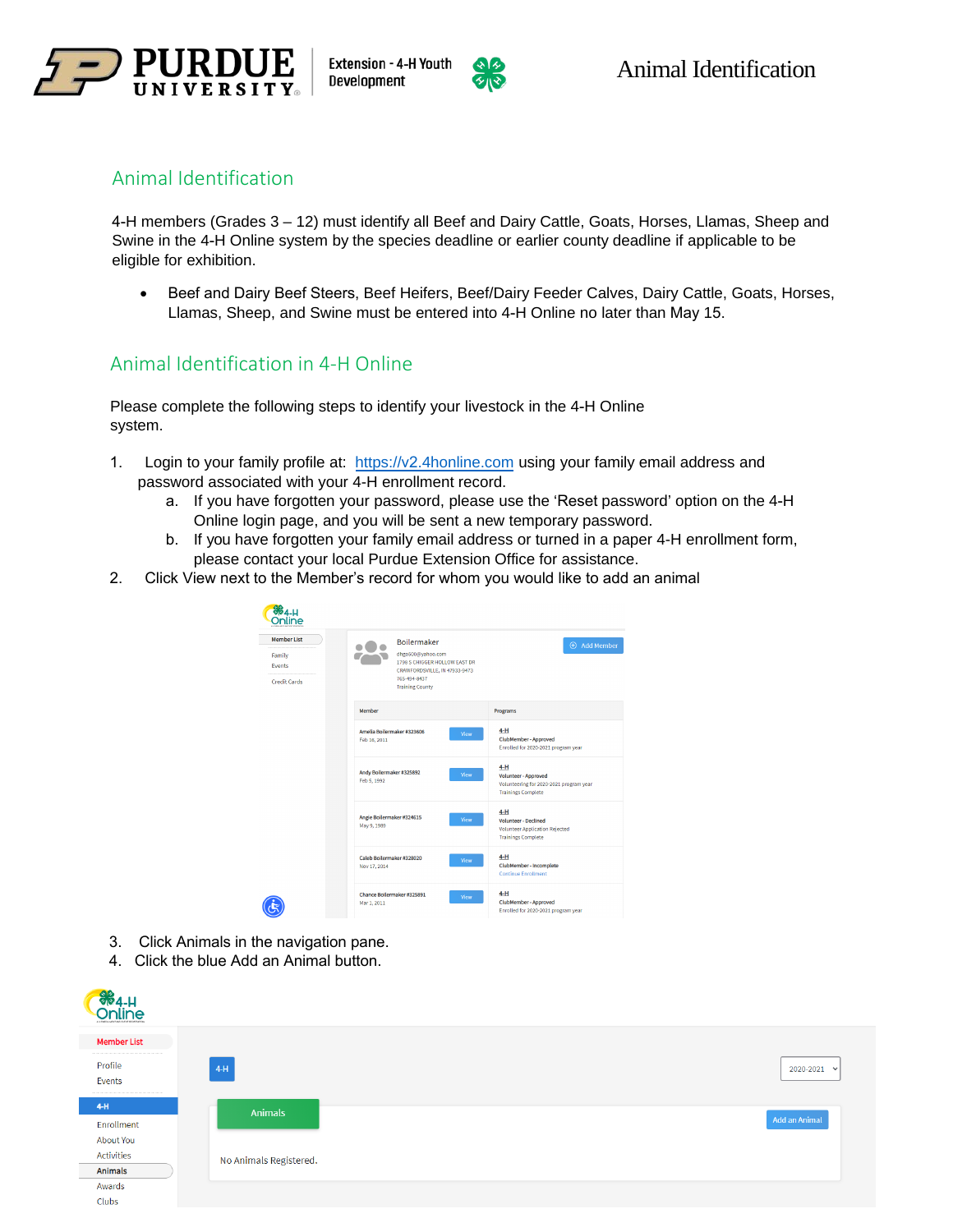



### Animal Identification

4-H members (Grades 3 – 12) must identify all Beef and Dairy Cattle, Goats, Horses, Llamas, Sheep and Swine in the 4-H Online system by the species deadline or earlier county deadline if applicable to be eligible for exhibition.

• Beef and Dairy Beef Steers, Beef Heifers, Beef/Dairy Feeder Calves, Dairy Cattle, Goats, Horses, Llamas, Sheep, and Swine must be entered into 4-H Online no later than May 15.

## Animal Identification in 4-H Online

Please complete the following steps to identify your livestock in the 4-H Online system.

- 1. Login to your family profile at: https://v2[.4honline.com](https://in.4honline.com/) using your family email address and password associated with your 4-H enrollment record.
	- a. If you have forgotten your password, please use the 'Reset password' option on the 4-H Online login page, and you will be sent a new temporary password.
	- b. If you have forgotten your family email address or turned in a paper 4-H enrollment form, please contact your local Purdue Extension Office for assistance.
- 2. Click View next to the Member's record for whom you would like to add an animal

| <b>Member List</b>      | Boilermaker                                                             | <b>(+)</b> Add Member                                                                                              |
|-------------------------|-------------------------------------------------------------------------|--------------------------------------------------------------------------------------------------------------------|
| Family<br><b>Fvents</b> | dhgo500@yahoo.com<br>1798 S CHIGGER HOLLOW EAST DR                      |                                                                                                                    |
| <b>Credit Cards</b>     | CRAWFORDSVILLE, IN 47933-9473<br>765-494-8437<br><b>Training County</b> |                                                                                                                    |
|                         | Member                                                                  | Programs                                                                                                           |
|                         | Amelia Boilermaker #323606<br>Feb 16, 2011                              | $4-H$<br>View<br>ClubMember - Approved<br>Enrolled for 2020-2021 program year                                      |
|                         | Andy Boilermaker #325892<br>Feb 5, 1992                                 | $4-H$<br>View<br>Volunteer - Approved<br>Volunteering for 2020-2021 program year<br><b>Trainings Complete</b>      |
|                         | Angie Boilermaker #324615<br>May 9, 1989                                | $4-H$<br>View<br><b>Volunteer - Declined</b><br><b>Volunteer Application Rejected</b><br><b>Trainings Complete</b> |
|                         | Caleb Boilermaker #328020<br>Nov 17, 2014                               | $4-H$<br>View<br>ClubMember - Incomplete<br><b>Continue Enrollment</b>                                             |
|                         | Chance Boilermaker #325891<br>Mar 1, 2011                               | $4-H$<br>View<br>ClubMember - Approved<br>Enrolled for 2020-2021 program year                                      |

- 3. Click Animals in the navigation pane.
- 4. Click the blue Add an Animal button.